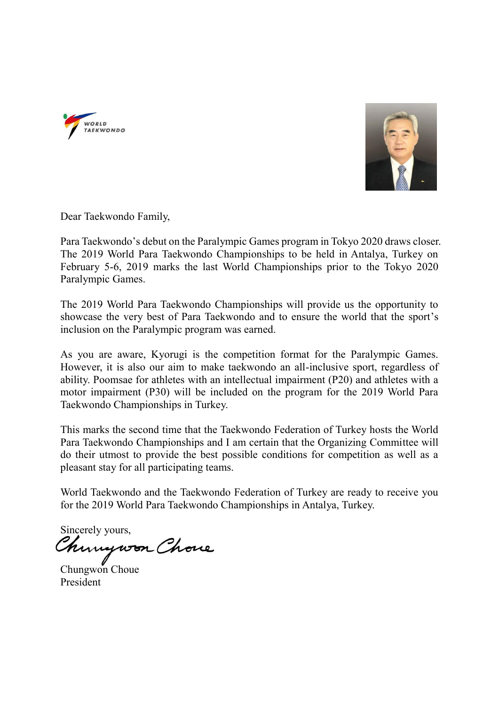



Dear Taekwondo Family,

Para Taekwondo's debut on the Paralympic Games program in Tokyo 2020 draws closer. The 2019 World Para Taekwondo Championships to be held in Antalya, Turkey on February 5-6, 2019 marks the last World Championships prior to the Tokyo 2020 Paralympic Games.

The 2019 World Para Taekwondo Championships will provide us the opportunity to showcase the very best of Para Taekwondo and to ensure the world that the sport's inclusion on the Paralympic program was earned.

As you are aware, Kyorugi is the competition format for the Paralympic Games. However, it is also our aim to make taekwondo an all-inclusive sport, regardless of ability. Poomsae for athletes with an intellectual impairment (P20) and athletes with a motor impairment (P30) will be included on the program for the 2019 World Para Taekwondo Championships in Turkey.

This marks the second time that the Taekwondo Federation of Turkey hosts the World Para Taekwondo Championships and I am certain that the Organizing Committee will do their utmost to provide the best possible conditions for competition as well as a pleasant stay for all participating teams.

World Taekwondo and the Taekwondo Federation of Turkey are ready to receive you for the 2019 World Para Taekwondo Championships in Antalya, Turkey.

Sincerely yours, Mungwon Chone

President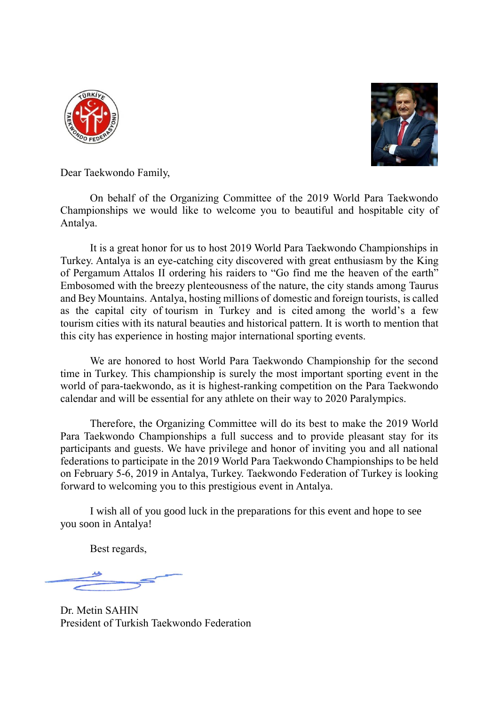



Dear Taekwondo Family,

On behalf of the Organizing Committee of the 2019 World Para Taekwondo Championships we would like to welcome you to beautiful and hospitable city of Antalya.

It is a great honor for us to host 2019 World Para Taekwondo Championships in Turkey. Antalya is an eye-catching city discovered with great enthusiasm by the King of Pergamum Attalos II ordering his raiders to "Go find me the heaven of the earth" Embosomed with the breezy plenteousness of the nature, the city stands among Taurus and Bey Mountains. Antalya, hosting millions of domestic and foreign tourists, is called as the capital city of tourism in Turkey and is cited among the world's a few tourism cities with its natural beauties and historical pattern. It is worth to mention that this city has experience in hosting major international sporting events.

We are honored to host World Para Taekwondo Championship for the second time in Turkey. This championship is surely the most important sporting event in the world of para-taekwondo, as it is highest-ranking competition on the Para Taekwondo calendar and will be essential for any athlete on their way to 2020 Paralympics.

Therefore, the Organizing Committee will do its best to make the 2019 World Para Taekwondo Championships a full success and to provide pleasant stay for its participants and guests. We have privilege and honor of inviting you and all national federations to participate in the 2019 World Para Taekwondo Championships to be held on February 5-6, 2019 in Antalya, Turkey. Taekwondo Federation of Turkey is looking forward to welcoming you to this prestigious event in Antalya.

I wish all of you good luck in the preparations for this event and hope to see you soon in Antalya!

Best regards,

Dr. Metin SAHIN President of Turkish Taekwondo Federation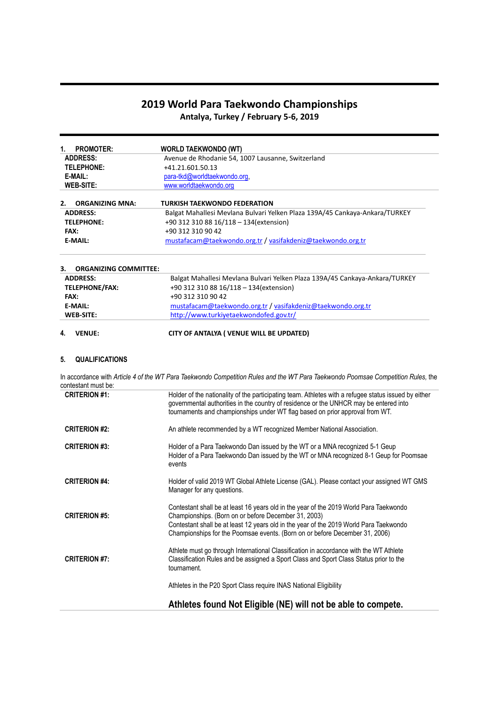# **2019 World Para Taekwondo Championships**

**Antalya, Turkey / February 5-6, 2019**

| <b>PROMOTER:</b><br>1.                    | <b>WORLD TAEKWONDO (WT)</b>                                                                                           |
|-------------------------------------------|-----------------------------------------------------------------------------------------------------------------------|
| <b>ADDRESS:</b>                           | Avenue de Rhodanie 54, 1007 Lausanne, Switzerland                                                                     |
| TELEPHONE:                                | $+41.21.601.50.13$                                                                                                    |
| E-MAIL:                                   | para-tkd@worldtaekwondo.org.                                                                                          |
| <b>WEB-SITE:</b>                          | www.worldtaekwondo.org                                                                                                |
|                                           |                                                                                                                       |
|                                           |                                                                                                                       |
| <b>ORGANIZING MNA:</b><br><b>ADDRESS:</b> | TURKISH TAEKWONDO FEDERATION                                                                                          |
| <b>TELEPHONE:</b>                         | Balgat Mahallesi Mevlana Bulvari Yelken Plaza 139A/45 Cankaya-Ankara/TURKEY<br>+90 312 310 88 16/118 - 134(extension) |
| 2.<br><b>FAX:</b>                         | +90 312 310 90 42                                                                                                     |

# **3. ORGANIZING COMMITTEE: ADDRESS:** Balgat Mahallesi Mevlana Bulvari Yelken Plaza 139A/45 Cankaya-Ankara/TURKEY **TELEPHONE/FAX:** +90 312 310 88 16/118 – 134(extension) **FAX:** +90 312 310 90 42 **E-MAIL:** [mustafacam@taekwondo.org.tr](mailto:mustafacam@taekwondo.org.tr) [/ vasifakdeniz@taekwondo.org.tr](mailto:vasifakdeniz@taekwondo.org.tr) **WEB-SITE:** <http://www.turkiyetaekwondofed.gov.tr/>

# **4. VENUE: CITY OF ANTALYA ( VENUE WILL BE UPDATED)**

# **5. QUALIFICATIONS**

In accordance with *Article 4 of the WT Para Taekwondo Competition Rules and the WT Para Taekwondo Poomsae Competition Rules,* the contestant must be:

| <b>CRITERION #1:</b> | Holder of the nationality of the participating team. Athletes with a refugee status issued by either<br>governmental authorities in the country of residence or the UNHCR may be entered into<br>tournaments and championships under WT flag based on prior approval from WT.                                           |
|----------------------|-------------------------------------------------------------------------------------------------------------------------------------------------------------------------------------------------------------------------------------------------------------------------------------------------------------------------|
| <b>CRITERION #2:</b> | An athlete recommended by a WT recognized Member National Association.                                                                                                                                                                                                                                                  |
| <b>CRITERION #3:</b> | Holder of a Para Taekwondo Dan issued by the WT or a MNA recognized 5-1 Geup<br>Holder of a Para Taekwondo Dan issued by the WT or MNA recognized 8-1 Geup for Poomsae<br>events                                                                                                                                        |
| <b>CRITERION #4:</b> | Holder of valid 2019 WT Global Athlete License (GAL). Please contact your assigned WT GMS<br>Manager for any questions.                                                                                                                                                                                                 |
| <b>CRITERION #5:</b> | Contestant shall be at least 16 years old in the year of the 2019 World Para Taekwondo<br>Championships. (Born on or before December 31, 2003)<br>Contestant shall be at least 12 years old in the year of the 2019 World Para Taekwondo<br>Championships for the Poomsae events. (Born on or before December 31, 2006) |
| <b>CRITERION #7:</b> | Athlete must go through International Classification in accordance with the WT Athlete<br>Classification Rules and be assigned a Sport Class and Sport Class Status prior to the<br>tournament.                                                                                                                         |
|                      | Athletes in the P20 Sport Class require INAS National Eligibility                                                                                                                                                                                                                                                       |
|                      | Athletes found Not Eligible (NE) will not be able to compete.                                                                                                                                                                                                                                                           |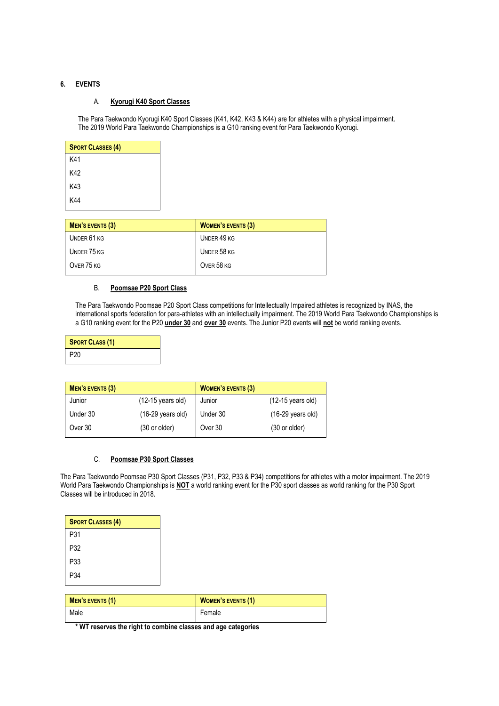# **6. EVENTS**

# A. **Kyorugi K40 Sport Classes**

The Para Taekwondo Kyorugi K40 Sport Classes (K41, K42, K43 & K44) are for athletes with a physical impairment. The 2019 World Para Taekwondo Championships is a G10 ranking event for Para Taekwondo Kyorugi.

| <b>SPORT CLASSES (4)</b> |
|--------------------------|
| K41                      |
| K42                      |
| K43                      |
| K44                      |

| MEN'S EVENTS (3) | <b>WOMEN'S EVENTS (3)</b> |
|------------------|---------------------------|
| UNDER 61 KG      | UNDER 49 KG               |
| UNDER 75 KG      | UNDER 58 KG               |
| OVER 75 KG       | OVER 58 KG                |

# B. **Poomsae P20 Sport Class**

The Para Taekwondo Poomsae P20 Sport Class competitions for Intellectually Impaired athletes is recognized by INAS, the international sports federation for para-athletes with an intellectually impairment. The 2019 World Para Taekwondo Championships is a G10 ranking event for the P20 **under 30** and **over 30** events. The Junior P20 events will **not** be world ranking events.

| <b>SPORT CLASS (1)</b> |
|------------------------|
| P <sub>20</sub>        |

| <b>MEN'S EVENTS (3)</b> |                             | <b>WOMEN'S EVENTS (3)</b> |                             |
|-------------------------|-----------------------------|---------------------------|-----------------------------|
| Junior                  | (12-15 years old)           | Junior                    | $(12-15 \text{ years old})$ |
| Under 30                | $(16-29 \text{ years old})$ | Under 30                  | $(16-29 \text{ years old})$ |
| Over 30                 | (30 or older)               | Over 30                   | $(30 \text{ or older})$     |

# C. **Poomsae P30 Sport Classes**

The Para Taekwondo Poomsae P30 Sport Classes (P31, P32, P33 & P34) competitions for athletes with a motor impairment. The 2019 World Para Taekwondo Championships is **NOT** a world ranking event for the P30 sport classes as world ranking for the P30 Sport Classes will be introduced in 2018.

| <b>SPORT CLASSES (4)</b> |
|--------------------------|
| P31                      |
| P32                      |
| P33                      |
| P34                      |

| MEN'S EVENTS (1) | <b>WOMEN'S EVENTS (1)</b> |
|------------------|---------------------------|
| Male             | Female                    |

**\* WT reserves the right to combine classes and age categories**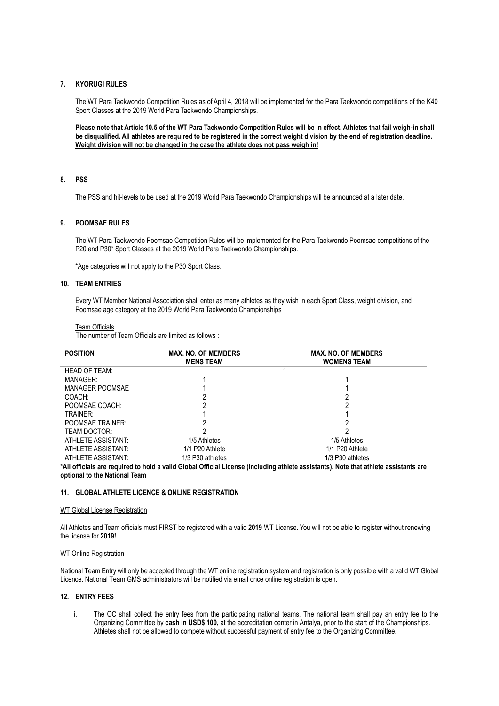# **7. KYORUGI RULES**

The WT Para Taekwondo Competition Rules as of April 4, 2018 will be implemented for the Para Taekwondo competitions of the K40 Sport Classes at the 2019 World Para Taekwondo Championships.

**Please note that Article 10.5 of the WT Para Taekwondo Competition Rules will be in effect. Athletes that fail weigh-in shall be disqualified. All athletes are required to be registered in the correct weight division by the end of registration deadline. Weight division will not be changed in the case the athlete does not pass weigh in!**

#### **8. PSS**

The PSS and hit-levels to be used at the 2019 World Para Taekwondo Championships will be announced at a later date.

# **9. POOMSAE RULES**

The WT Para Taekwondo Poomsae Competition Rules will be implemented for the Para Taekwondo Poomsae competitions of the P20 and P30\* Sport Classes at the 2019 World Para Taekwondo Championships.

\*Age categories will not apply to the P30 Sport Class.

# **10. TEAM ENTRIES**

Every WT Member National Association shall enter as many athletes as they wish in each Sport Class, weight division, and Poomsae age category at the 2019 World Para Taekwondo Championships

#### Team Officials

The number of Team Officials are limited as follows :

| <b>POSITION</b>         | <b>MAX. NO. OF MEMBERS</b><br><b>MENS TEAM</b> | <b>MAX. NO. OF MEMBERS</b><br><b>WOMENS TEAM</b> |
|-------------------------|------------------------------------------------|--------------------------------------------------|
| <b>HEAD OF TEAM:</b>    |                                                |                                                  |
| MANAGER:                |                                                |                                                  |
| MANAGER POOMSAE         |                                                |                                                  |
| COACH:                  |                                                |                                                  |
| POOMSAE COACH:          |                                                |                                                  |
| TRAINER:                |                                                |                                                  |
| <b>POOMSAE TRAINER:</b> |                                                |                                                  |
| TFAM DOCTOR:            |                                                |                                                  |
| ATHLETE ASSISTANT:      | 1/5 Athletes                                   | 1/5 Athletes                                     |
| ATHLETE ASSISTANT:      | 1/1 P20 Athlete                                | 1/1 P20 Athlete                                  |
| ATHLETE ASSISTANT:      | 1/3 P30 athletes                               | 1/3 P30 athletes                                 |

**\*All officials are required to hold a valid Global Official License (including athlete assistants). Note that athlete assistants are optional to the National Team**

# **11. GLOBAL ATHLETE LICENCE & ONLINE REGISTRATION**

#### WT Global License Registration

All Athletes and Team officials must FIRST be registered with a valid **2019** WT License. You will not be able to register without renewing the license for **2019!**

#### WT Online Registration

National Team Entry will only be accepted through the WT online registration system and registration is only possible with a valid WT Global Licence. National Team GMS administrators will be notified via email once online registration is open.

# **12. ENTRY FEES**

i. The OC shall collect the entry fees from the participating national teams. The national team shall pay an entry fee to the Organizing Committee by **cash in USD\$ 100,** at the accreditation center in Antalya, prior to the start of the Championships. Athletes shall not be allowed to compete without successful payment of entry fee to the Organizing Committee.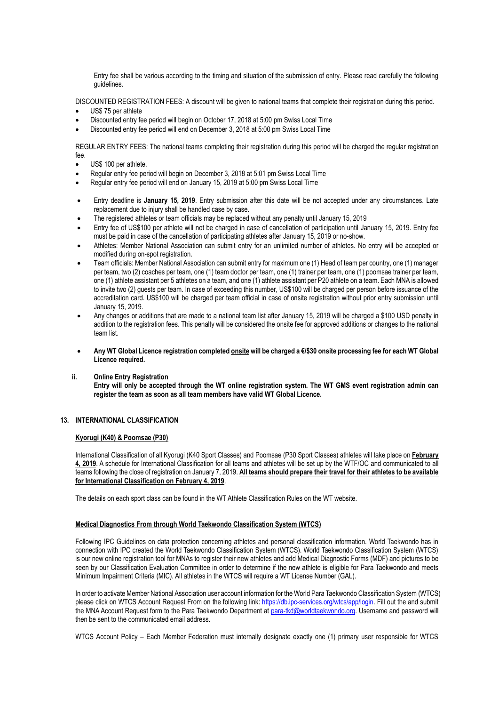Entry fee shall be various according to the timing and situation of the submission of entry. Please read carefully the following guidelines.

DISCOUNTED REGISTRATION FEES: A discount will be given to national teams that complete their registration during this period.

- US\$ 75 per athlete
- Discounted entry fee period will begin on October 17, 2018 at 5:00 pm Swiss Local Time
- Discounted entry fee period will end on December 3, 2018 at 5:00 pm Swiss Local Time

REGULAR ENTRY FEES: The national teams completing their registration during this period will be charged the regular registration fee.

- US\$ 100 per athlete.
- Regular entry fee period will begin on December 3, 2018 at 5:01 pm Swiss Local Time
- Regular entry fee period will end on January 15, 2019 at 5:00 pm Swiss Local Time
- Entry deadline is **January 15, 2019**. Entry submission after this date will be not accepted under any circumstances. Late replacement due to injury shall be handled case by case.
- The registered athletes or team officials may be replaced without any penalty until January 15, 2019
- Entry fee of US\$100 per athlete will not be charged in case of cancellation of participation until January 15, 2019. Entry fee must be paid in case of the cancellation of participating athletes after January 15, 2019 or no-show.
- Athletes: Member National Association can submit entry for an unlimited number of athletes. No entry will be accepted or modified during on-spot registration.
- Team officials: Member National Association can submit entry for maximum one (1) Head of team per country, one (1) manager per team, two (2) coaches per team, one (1) team doctor per team, one (1) trainer per team, one (1) poomsae trainer per team, one (1) athlete assistant per 5 athletes on a team, and one (1) athlete assistant per P20 athlete on a team. Each MNA is allowed to invite two (2) guests per team. In case of exceeding this number, US\$100 will be charged per person before issuance of the accreditation card. US\$100 will be charged per team official in case of onsite registration without prior entry submission until January 15, 2019.
- Any changes or additions that are made to a national team list after January 15, 2019 will be charged a \$100 USD penalty in addition to the registration fees. This penalty will be considered the onsite fee for approved additions or changes to the national team list.
- **Any WT Global Licence registration completed onsite will be charged a €/\$30 onsite processing fee for each WT Global Licence required.**
- **ii. Online Entry Registration**

**Entry will only be accepted through the WT online registration system. The WT GMS event registration admin can register the team as soon as all team members have valid WT Global Licence.**

## **13. INTERNATIONAL CLASSIFICATION**

# **Kyorugi (K40) & Poomsae (P30)**

International Classification of all Kyorugi (K40 Sport Classes) and Poomsae (P30 Sport Classes) athletes will take place on **February 4, 2019**. A schedule for International Classification for all teams and athletes will be set up by the WTF/OC and communicated to all teams following the close of registration on January 7, 2019. **All teams should prepare their travel for their athletes to be available for International Classification on February 4, 2019**.

The details on each sport class can be found in the WT Athlete Classification Rules on the WT website.

## **Medical Diagnostics From through World Taekwondo Classification System (WTCS)**

Following IPC Guidelines on data protection concerning athletes and personal classification information. World Taekwondo has in connection with IPC created the World Taekwondo Classification System (WTCS). World Taekwondo Classification System (WTCS) is our new online registration tool for MNAs to register their new athletes and add Medical Diagnostic Forms (MDF) and pictures to be seen by our Classification Evaluation Committee in order to determine if the new athlete is eligible for Para Taekwondo and meets Minimum Impairment Criteria (MIC). All athletes in the WTCS will require a WT License Number (GAL).

In order to activate Member National Association user account information for the World Para Taekwondo Classification System (WTCS) please click on WTCS Account Request From on the following link: [https://db.ipc-services.org/wtcs/app/login.](https://db.ipc-services.org/wtcs/app/login) Fill out the and submit the MNA Account Request form to the Para Taekwondo Department a[t para-tkd@worldtaekwondo.org.](mailto:para-tkd@worldtaekwondo.org) Username and password will then be sent to the communicated email address.

WTCS Account Policy – Each Member Federation must internally designate exactly one (1) primary user responsible for WTCS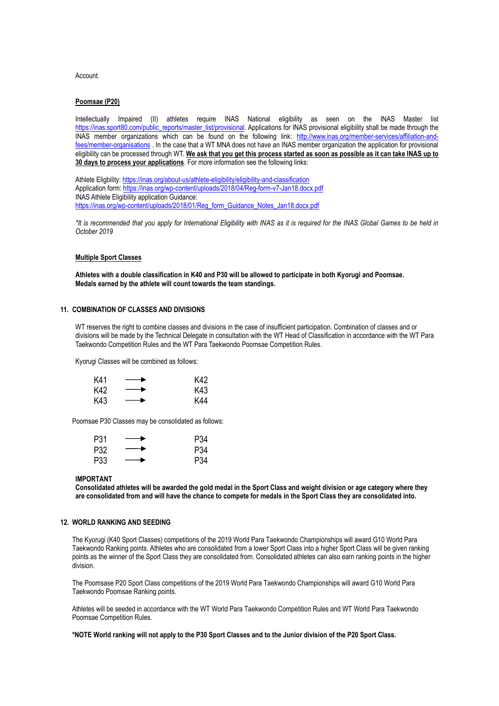Account.

#### **Poomsae (P20)**

Intellectually Impaired (II) athletes require INAS National eligibility as seen on the INAS Master list [https://inas.sport80.com/public\\_reports/master\\_list/provisional.](https://inas.sport80.com/public_reports/master_list/provisional) Applications for INAS provisional eligibility shall be made through the INAS member organizations which can be found on the following link: [http://www.inas.org/member-services/affiliation-and](http://www.inas.org/member-services/affiliation-and-fees/member-organisations)[fees/member-organisations](http://www.inas.org/member-services/affiliation-and-fees/member-organisations) . In the case that a WT MNA does not have an INAS member organization the application for provisional eligibility can be processed through WT. **We ask that you get this process started as soon as possible as it can take INAS up to 30 days to process your applications**. For more information see the following links:

Athlete Eligbility[: https://inas.org/about-us/athlete-eligibility/eligibility-and-classification](https://inas.org/about-us/athlete-eligibility/eligibility-and-classification) Application form: <https://inas.org/wp-content/uploads/2018/04/Reg-form-v7-Jan18.docx.pdf> INAS Athlete Eligibility application Guidance: [https://inas.org/wp-content/uploads/2018/01/Reg\\_form\\_Guidance\\_Notes\\_Jan18.docx.pdf](https://inas.org/wp-content/uploads/2018/01/Reg_form_Guidance_Notes_Jan18.docx.pdf)

*\*It is recommended that you apply for International Eligibility with INAS as it is required for the INAS Global Games to be held in October 2019*

#### **Multiple Sport Classes**

**Athletes with a double classification in K40 and P30 will be allowed to participate in both Kyorugi and Poomsae. Medals earned by the athlete will count towards the team standings.**

#### **11. COMBINATION OF CLASSES AND DIVISIONS**

WT reserves the right to combine classes and divisions in the case of insufficient participation. Combination of classes and or divisions will be made by the Technical Delegate in consultation with the WT Head of Classification in accordance with the WT Para Taekwondo Competition Rules and the WT Para Taekwondo Poomsae Competition Rules.

Kyorugi Classes will be combined as follows:

| K41  | $\overline{\phantom{a}}$       | K42 |
|------|--------------------------------|-----|
| K42. | $\overbrace{\hspace{25mm}}^{}$ | K43 |
| K43  | $\overbrace{\hspace{25mm}}^{}$ | K44 |

Poomsae P30 Classes may be consolidated as follows:

| P31 |     | P34 |
|-----|-----|-----|
| P32 | ___ | P34 |
| P33 |     | P34 |

#### **IMPORTANT**

**Consolidated athletes will be awarded the gold medal in the Sport Class and weight division or age category where they are consolidated from and will have the chance to compete for medals in the Sport Class they are consolidated into.**

## **12. WORLD RANKING AND SEEDING**

The Kyorugi (K40 Sport Classes) competitions of the 2019 World Para Taekwondo Championships will award G10 World Para Taekwondo Ranking points. Athletes who are consolidated from a lower Sport Class into a higher Sport Class will be given ranking points as the winner of the Sport Class they are consolidated from. Consolidated athletes can also earn ranking points in the higher division.

The Poomsase P20 Sport Class competitions of the 2019 World Para Taekwondo Championships will award G10 World Para Taekwondo Poomsae Ranking points.

Athletes will be seeded in accordance with the WT World Para Taekwondo Competition Rules and WT World Para Taekwondo Poomsae Competition Rules.

**\*NOTE World ranking will not apply to the P30 Sport Classes and to the Junior division of the P20 Sport Class.**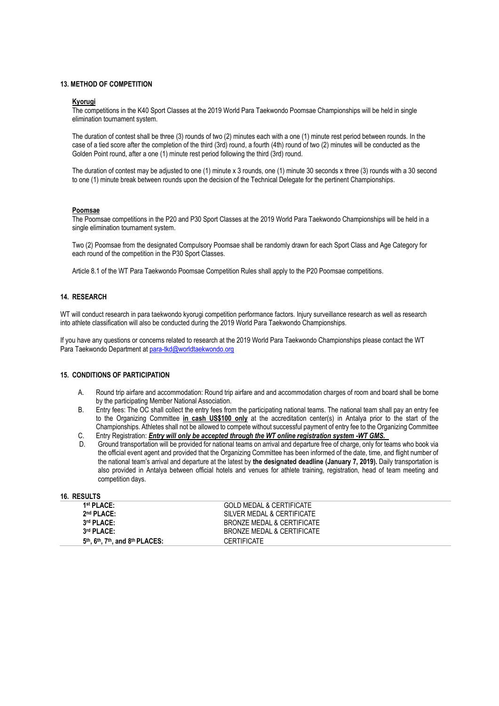#### **13. METHOD OF COMPETITION**

#### **Kyorugi**

The competitions in the K40 Sport Classes at the 2019 World Para Taekwondo Poomsae Championships will be held in single elimination tournament system.

The duration of contest shall be three (3) rounds of two (2) minutes each with a one (1) minute rest period between rounds. In the case of a tied score after the completion of the third (3rd) round, a fourth (4th) round of two (2) minutes will be conducted as the Golden Point round, after a one (1) minute rest period following the third (3rd) round.

The duration of contest may be adjusted to one (1) minute x 3 rounds, one (1) minute 30 seconds x three (3) rounds with a 30 second to one (1) minute break between rounds upon the decision of the Technical Delegate for the pertinent Championships.

#### **Poomsae**

The Poomsae competitions in the P20 and P30 Sport Classes at the 2019 World Para Taekwondo Championships will be held in a single elimination tournament system.

Two (2) Poomsae from the designated Compulsory Poomsae shall be randomly drawn for each Sport Class and Age Category for each round of the competition in the P30 Sport Classes.

Article 8.1 of the WT Para Taekwondo Poomsae Competition Rules shall apply to the P20 Poomsae competitions.

## **14. RESEARCH**

WT will conduct research in para taekwondo kyorugi competition performance factors. Injury surveillance research as well as research into athlete classification will also be conducted during the 2019 World Para Taekwondo Championships.

If you have any questions or concerns related to research at the 2019 World Para Taekwondo Championships please contact the WT Para Taekwondo Department at para-tkd@worldtaekwondo.org

#### **15. CONDITIONS OF PARTICIPATION**

- A. Round trip airfare and accommodation: Round trip airfare and and accommodation charges of room and board shall be borne by the participating Member National Association.
- B. Entry fees: The OC shall collect the entry fees from the participating national teams. The national team shall pay an entry fee to the Organizing Committee **in cash US\$100 only** at the accreditation center(s) in Antalya prior to the start of the Championships. Athletes shall not be allowed to compete without successful payment of entry fee to the Organizing Committee
- C. Entry Registration: *Entry will only be accepted through the WT online registration system -WT GMS.*
- D. Ground transportation will be provided for national teams on arrival and departure free of charge, only for teams who book via the official event agent and provided that the Organizing Committee has been informed of the date, time, and flight number of the national team's arrival and departure at the latest by **the designated deadline (January 7, 2019).** Daily transportation is also provided in Antalya between official hotels and venues for athlete training, registration, head of team meeting and competition days.

| <b>16. RESULTS</b> |  |
|--------------------|--|
|                    |  |

| 1 <sup>st</sup> PLACE:                    | GOLD MEDAL & CERTIFICATE   |
|-------------------------------------------|----------------------------|
| 2 <sup>nd</sup> PLACE:                    | SILVER MEDAL & CERTIFICATE |
| 3rd PLACE:                                | BRONZE MEDAL & CERTIFICATE |
| 3rd PLACE:                                | BRONZE MEDAL & CERTIFICATE |
| $5th$ . $6th$ . $7th$ . and $8th$ PLACES: | <b>CERTIFICATE</b>         |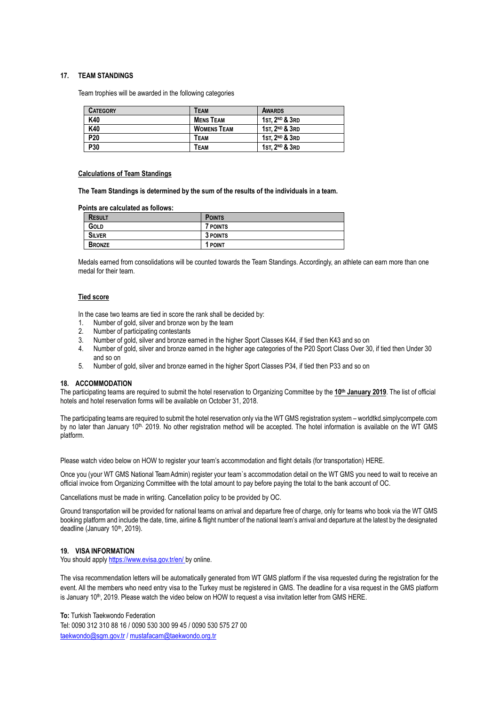## **17. TEAM STANDINGS**

Team trophies will be awarded in the following categories

| <b>CATEGORY</b> | Теам               | <b>AWARDS</b>              |
|-----------------|--------------------|----------------------------|
| K40             | <b>MENS TEAM</b>   | 1st. $2^{ND}$ & $3RD$      |
| K40             | <b>WOMENS TEAM</b> | 1st. $2^{ND}$ & $3RD$      |
| P20             | Теам               | 1st. $2^{ND}$ & $3RD$      |
| P30             | Теам               | 1st. 2 <sup>nd</sup> & 3rd |

#### **Calculations of Team Standings**

**The Team Standings is determined by the sum of the results of the individuals in a team.**

**Points are calculated as follows:**

| <b>RESULT</b> | <b>POINTS</b>       |
|---------------|---------------------|
| GOLD          | <sup>7</sup> POINTS |
| <b>SILVER</b> | 3 POINTS            |
| <b>BRONZE</b> | 1 POINT             |

Medals earned from consolidations will be counted towards the Team Standings. Accordingly, an athlete can earn more than one medal for their team.

#### **Tied score**

In the case two teams are tied in score the rank shall be decided by:

- 1. Number of gold, silver and bronze won by the team
- 2. Number of participating contestants
- 3. Number of gold, silver and bronze earned in the higher Sport Classes K44, if tied then K43 and so on
- 4. Number of gold, silver and bronze earned in the higher age categories of the P20 Sport Class Over 30, if tied then Under 30 and so on
- 5. Number of gold, silver and bronze earned in the higher Sport Classes P34, if tied then P33 and so on

#### **18. ACCOMMODATION**

The participating teams are required to submit the hotel reservation to Organizing Committee by the **10th January 2019**. The list of official hotels and hotel reservation forms will be available on October 31, 2018.

The participating teams are required to submit the hotel reservation only via the WT GMS registration system – worldtkd.simplycompete.com by no later than January 10<sup>th,</sup> 2019. No other registration method will be accepted. The hotel information is available on the WT GMS platform.

Please watch video below on HOW to register your team's accommodation and flight details (for transportation) [HERE.](https://www.youtube.com/watch?v=etqalsOWon0&feature=youtu.be)

Once you (your WT GMS National Team Admin) register your team`s accommodation detail on the WT GMS you need to wait to receive an official invoice [from Organizing C](mailto:accomodation@romagrandprix.it)ommittee with the total amount to pay before paying the total to the bank account of OC.

Cancellations must be made in writing. Cancellation policy to be provided by OC.

Ground transportation will be provided for national teams on arrival and departure free of charge, only for teams who book via the WT GMS booking platform and include the date, time, airline & flight number of the national team's arrival and departure at the latest by the designated deadline (January 10<sup>th</sup>, 2019).

#### **19. VISA INFORMATION**

You should apply https://www.evisa.gov.tr/en/ by online.

The visa recommendation letters will be automatically generated from WT GMS platform if the visa requested during the registration for the event. All the members who need entry visa to the Turkey must be registered in GMS. The deadline for a visa request in the GMS platform is January 10<sup>th</sup>, 2019. Please watch the video below on HOW to request a visa invitation letter from GMS HERE.

**To:** Turkish Taekwondo Federation

Tel: 0090 312 310 88 16 / 0090 530 300 99 45 / 0090 530 575 27 00 [taekwondo@sgm.gov.tr](mailto:taekwondo@sgm.gov.tr) [/ mustafacam@taekwondo.org.t](mailto:mustafacam@taekwondo.org)r